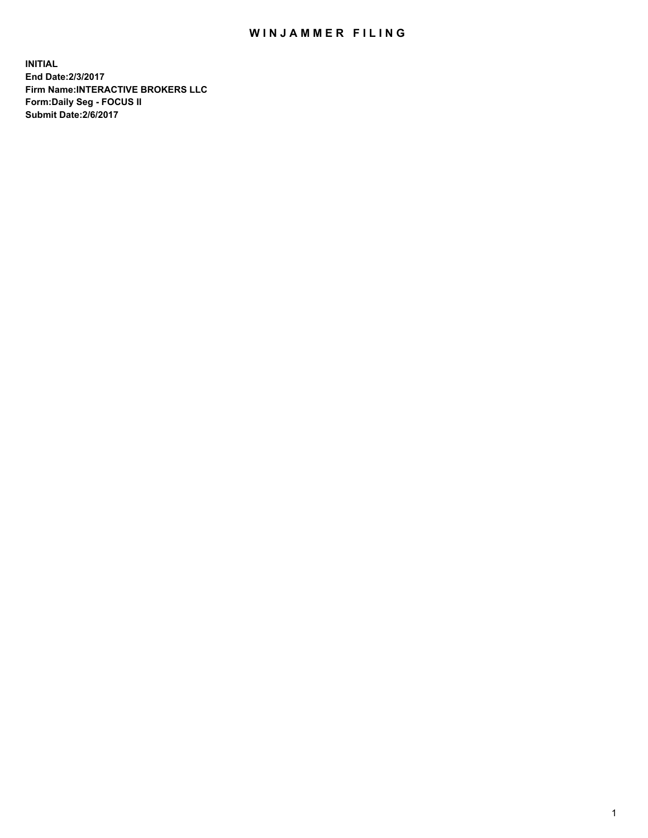## WIN JAMMER FILING

**INITIAL End Date:2/3/2017 Firm Name:INTERACTIVE BROKERS LLC Form:Daily Seg - FOCUS II Submit Date:2/6/2017**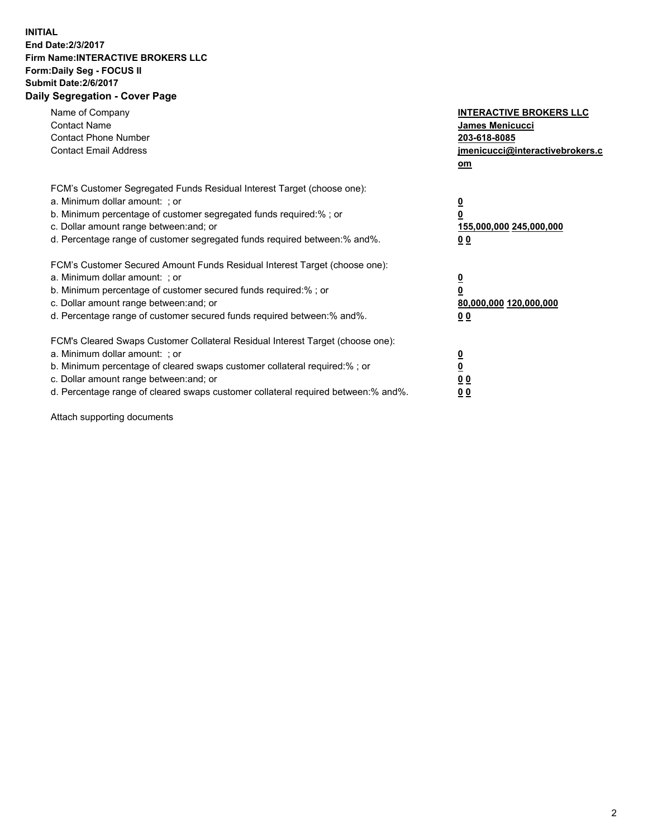## **INITIAL End Date:2/3/2017 Firm Name:INTERACTIVE BROKERS LLC Form:Daily Seg - FOCUS II Submit Date:2/6/2017 Daily Segregation - Cover Page**

| Name of Company<br><b>Contact Name</b><br><b>Contact Phone Number</b><br><b>Contact Email Address</b>                                                                                                                                                                                                                          | <b>INTERACTIVE BROKERS LLC</b><br><b>James Menicucci</b><br>203-618-8085<br>jmenicucci@interactivebrokers.c<br>om |
|--------------------------------------------------------------------------------------------------------------------------------------------------------------------------------------------------------------------------------------------------------------------------------------------------------------------------------|-------------------------------------------------------------------------------------------------------------------|
| FCM's Customer Segregated Funds Residual Interest Target (choose one):<br>a. Minimum dollar amount: ; or<br>b. Minimum percentage of customer segregated funds required:% ; or<br>c. Dollar amount range between: and; or<br>d. Percentage range of customer segregated funds required between: % and %.                       | $\overline{\mathbf{0}}$<br>0<br>155,000,000 245,000,000<br>00                                                     |
| FCM's Customer Secured Amount Funds Residual Interest Target (choose one):<br>a. Minimum dollar amount: ; or<br>b. Minimum percentage of customer secured funds required:%; or<br>c. Dollar amount range between: and; or<br>d. Percentage range of customer secured funds required between: % and %.                          | $\overline{\mathbf{0}}$<br>0<br>80,000,000 120,000,000<br>00                                                      |
| FCM's Cleared Swaps Customer Collateral Residual Interest Target (choose one):<br>a. Minimum dollar amount: ; or<br>b. Minimum percentage of cleared swaps customer collateral required:% ; or<br>c. Dollar amount range between: and; or<br>d. Percentage range of cleared swaps customer collateral required between:% and%. | $\overline{\mathbf{0}}$<br>$\overline{\mathbf{0}}$<br>00<br>0 <sub>0</sub>                                        |

Attach supporting documents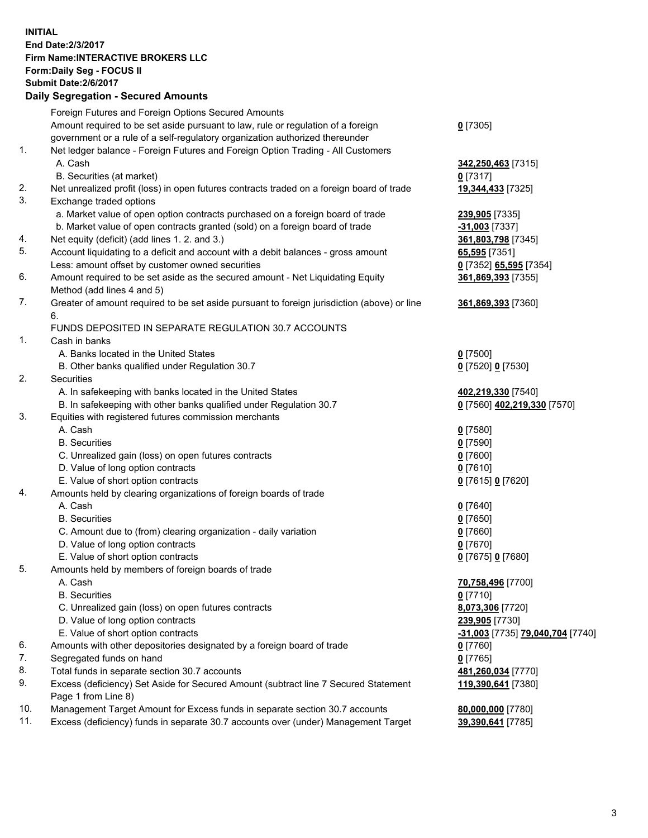## **INITIAL End Date:2/3/2017 Firm Name:INTERACTIVE BROKERS LLC Form:Daily Seg - FOCUS II Submit Date:2/6/2017 Daily Segregation - Secured Amounts**

|     | Dany Ocgregation - Oceanea Amounts                                                          |                                  |
|-----|---------------------------------------------------------------------------------------------|----------------------------------|
|     | Foreign Futures and Foreign Options Secured Amounts                                         |                                  |
|     | Amount required to be set aside pursuant to law, rule or regulation of a foreign            | $0$ [7305]                       |
|     | government or a rule of a self-regulatory organization authorized thereunder                |                                  |
| 1.  | Net ledger balance - Foreign Futures and Foreign Option Trading - All Customers             |                                  |
|     | A. Cash                                                                                     | 342,250,463 [7315]               |
|     | B. Securities (at market)                                                                   | $0$ [7317]                       |
| 2.  | Net unrealized profit (loss) in open futures contracts traded on a foreign board of trade   | 19,344,433 [7325]                |
| 3.  | Exchange traded options                                                                     |                                  |
|     | a. Market value of open option contracts purchased on a foreign board of trade              | 239,905 [7335]                   |
|     | b. Market value of open contracts granted (sold) on a foreign board of trade                | $-31,003$ [7337]                 |
| 4.  | Net equity (deficit) (add lines 1.2. and 3.)                                                | 361,803,798 [7345]               |
| 5.  | Account liquidating to a deficit and account with a debit balances - gross amount           | 65,595 [7351]                    |
|     | Less: amount offset by customer owned securities                                            | 0 [7352] 65,595 [7354]           |
| 6.  | Amount required to be set aside as the secured amount - Net Liquidating Equity              | 361,869,393 [7355]               |
|     | Method (add lines 4 and 5)                                                                  |                                  |
| 7.  | Greater of amount required to be set aside pursuant to foreign jurisdiction (above) or line | 361,869,393 [7360]               |
|     | 6.                                                                                          |                                  |
|     | FUNDS DEPOSITED IN SEPARATE REGULATION 30.7 ACCOUNTS                                        |                                  |
| 1.  | Cash in banks                                                                               |                                  |
|     | A. Banks located in the United States                                                       | $0$ [7500]                       |
|     | B. Other banks qualified under Regulation 30.7                                              | 0 [7520] 0 [7530]                |
| 2.  | Securities                                                                                  |                                  |
|     | A. In safekeeping with banks located in the United States                                   | 402,219,330 [7540]               |
|     | B. In safekeeping with other banks qualified under Regulation 30.7                          | 0 [7560] 402,219,330 [7570]      |
| 3.  | Equities with registered futures commission merchants                                       |                                  |
|     | A. Cash                                                                                     | $0$ [7580]                       |
|     | <b>B.</b> Securities                                                                        | $0$ [7590]                       |
|     | C. Unrealized gain (loss) on open futures contracts                                         | $0$ [7600]                       |
|     | D. Value of long option contracts                                                           | $0$ [7610]                       |
|     | E. Value of short option contracts                                                          | 0 [7615] 0 [7620]                |
| 4.  | Amounts held by clearing organizations of foreign boards of trade                           |                                  |
|     | A. Cash                                                                                     | $0$ [7640]                       |
|     | <b>B.</b> Securities                                                                        | $0$ [7650]                       |
|     | C. Amount due to (from) clearing organization - daily variation                             | $0$ [7660]                       |
|     | D. Value of long option contracts                                                           | $0$ [7670]                       |
|     | E. Value of short option contracts                                                          | 0 [7675] 0 [7680]                |
| 5.  | Amounts held by members of foreign boards of trade                                          |                                  |
|     | A. Cash                                                                                     | 70,758,496 [7700]                |
|     | <b>B.</b> Securities                                                                        | $0$ [7710]                       |
|     | C. Unrealized gain (loss) on open futures contracts                                         | 8,073,306 [7720]                 |
|     | D. Value of long option contracts                                                           | 239,905 [7730]                   |
|     | E. Value of short option contracts                                                          | -31,003 [7735] 79,040,704 [7740] |
| 6.  | Amounts with other depositories designated by a foreign board of trade                      | $0$ [7760]                       |
| 7.  | Segregated funds on hand                                                                    | $0$ [7765]                       |
| 8.  | Total funds in separate section 30.7 accounts                                               | 481,260,034 [7770]               |
| 9.  | Excess (deficiency) Set Aside for Secured Amount (subtract line 7 Secured Statement         | 119,390,641 [7380]               |
|     | Page 1 from Line 8)                                                                         |                                  |
| 10. | Management Target Amount for Excess funds in separate section 30.7 accounts                 | 80,000,000 [7780]                |
| 11. | Excess (deficiency) funds in separate 30.7 accounts over (under) Management Target          | 39,390,641 [7785]                |
|     |                                                                                             |                                  |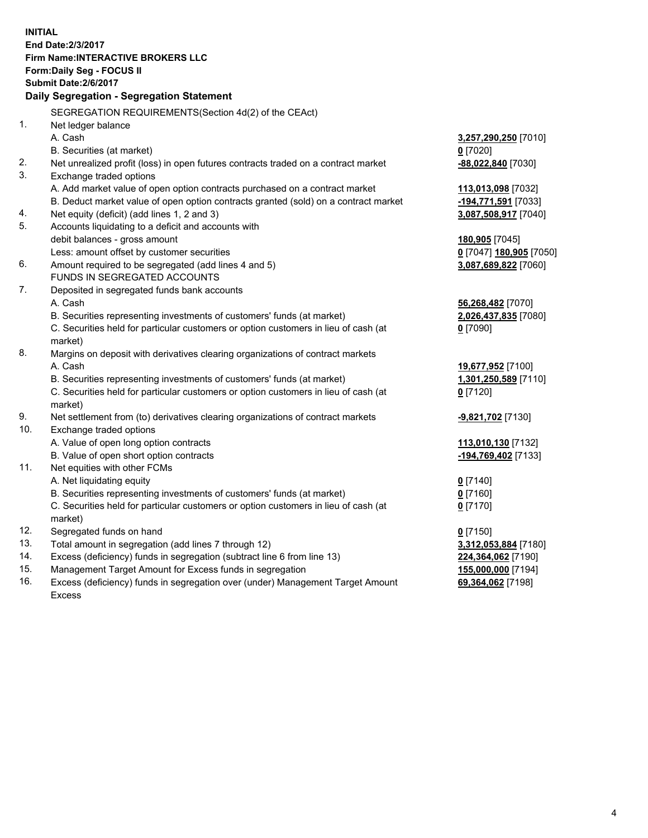**INITIAL End Date:2/3/2017 Firm Name:INTERACTIVE BROKERS LLC Form:Daily Seg - FOCUS II Submit Date:2/6/2017 Daily Segregation - Segregation Statement** SEGREGATION REQUIREMENTS(Section 4d(2) of the CEAct) 1. Net ledger balance A. Cash **3,257,290,250** [7010] B. Securities (at market) **0** [7020] 2. Net unrealized profit (loss) in open futures contracts traded on a contract market **-88,022,840** [7030] 3. Exchange traded options A. Add market value of open option contracts purchased on a contract market **113,013,098** [7032] B. Deduct market value of open option contracts granted (sold) on a contract market **-194,771,591** [7033] 4. Net equity (deficit) (add lines 1, 2 and 3) **3,087,508,917** [7040] 5. Accounts liquidating to a deficit and accounts with debit balances - gross amount **180,905** [7045] Less: amount offset by customer securities **0** [7047] **180,905** [7050] 6. Amount required to be segregated (add lines 4 and 5) **3,087,689,822** [7060] FUNDS IN SEGREGATED ACCOUNTS 7. Deposited in segregated funds bank accounts A. Cash **56,268,482** [7070] B. Securities representing investments of customers' funds (at market) **2,026,437,835** [7080] C. Securities held for particular customers or option customers in lieu of cash (at market) **0** [7090] 8. Margins on deposit with derivatives clearing organizations of contract markets A. Cash **19,677,952** [7100] B. Securities representing investments of customers' funds (at market) **1,301,250,589** [7110] C. Securities held for particular customers or option customers in lieu of cash (at market) **0** [7120] 9. Net settlement from (to) derivatives clearing organizations of contract markets **-9,821,702** [7130] 10. Exchange traded options A. Value of open long option contracts **113,010,130** [7132] B. Value of open short option contracts **-194,769,402** [7133] 11. Net equities with other FCMs A. Net liquidating equity **0** [7140] B. Securities representing investments of customers' funds (at market) **0** [7160] C. Securities held for particular customers or option customers in lieu of cash (at market) **0** [7170] 12. Segregated funds on hand **0** [7150] 13. Total amount in segregation (add lines 7 through 12) **3,312,053,884** [7180] 14. Excess (deficiency) funds in segregation (subtract line 6 from line 13) **224,364,062** [7190] 15. Management Target Amount for Excess funds in segregation **155,000,000** [7194] **69,364,062** [7198]

16. Excess (deficiency) funds in segregation over (under) Management Target Amount Excess